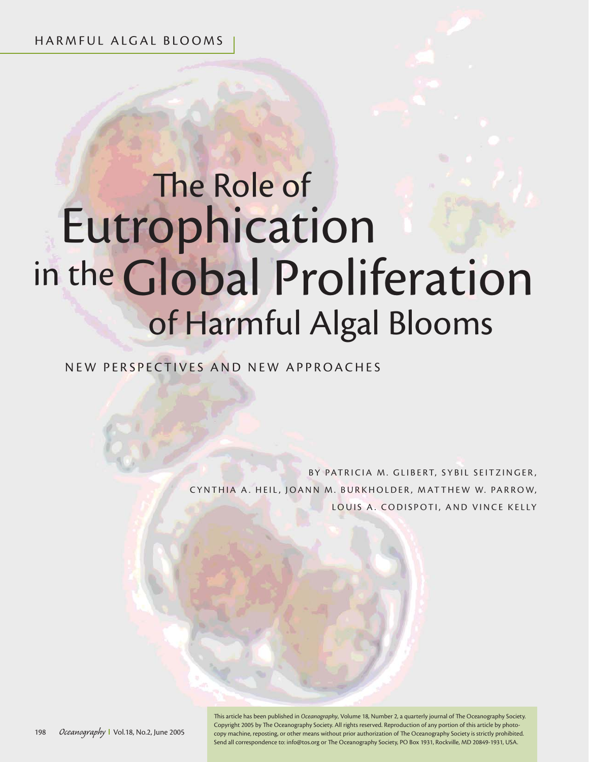# Eutrophication The Role of in the Global Proliferation of Harmful Algal Blooms

NEW PERSPECTIVES AND NEW APPROACHES

BY PATRICIA M. GLIBERT, SYBIL SEITZINGER, CYNTHIA A. HEIL, JOANN M. BURKHOLDER, MATTHEW W. PARROW, LOUIS A. CODISPOTI, AND VINCE KELLY

This article has been published in *Oceanography*, Volume 18, Number 2, a quarterly journal of The Oceanography Society. Copyright 2005 by The Oceanography Society. All rights reserved. Reproduction of any portion of this article by photocopy machine, reposting, or other means without prior authorization of The Oceanography Society is strictly prohibited. Send all correspondence to: info@tos.org or The Oceanography Society, PO Box 1931, Rockville, MD 20849-1931, USA.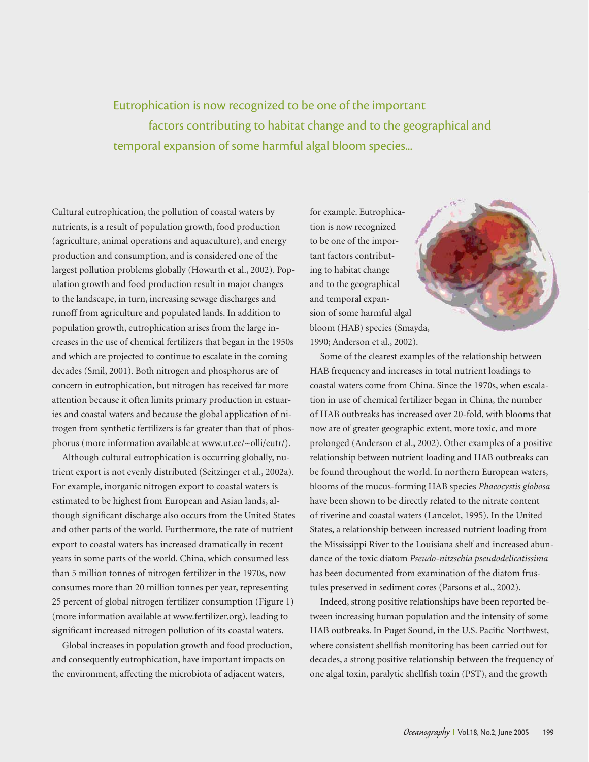Eutrophication is now recognized to be one of the important factors contributing to habitat change and to the geographical and temporal expansion of some harmful algal bloom species...

Cultural eutrophication, the pollution of coastal waters by nutrients, is a result of population growth, food production (agriculture, animal operations and aquaculture), and energy production and consumption, and is considered one of the largest pollution problems globally (Howarth et al., 2002). Population growth and food production result in major changes to the landscape, in turn, increasing sewage discharges and runoff from agriculture and populated lands. In addition to population growth, eutrophication arises from the large increases in the use of chemical fertilizers that began in the 1950s and which are projected to continue to escalate in the coming decades (Smil, 2001). Both nitrogen and phosphorus are of concern in eutrophication, but nitrogen has received far more attention because it often limits primary production in estuaries and coastal waters and because the global application of nitrogen from synthetic fertilizers is far greater than that of phosphorus (more information available at www.ut.ee/~olli/eutr/).

Although cultural eutrophication is occurring globally, nutrient export is not evenly distributed (Seitzinger et al., 2002a). For example, inorganic nitrogen export to coastal waters is estimated to be highest from European and Asian lands, although significant discharge also occurs from the United States and other parts of the world. Furthermore, the rate of nutrient export to coastal waters has increased dramatically in recent years in some parts of the world. China, which consumed less than 5 million tonnes of nitrogen fertilizer in the 1970s, now consumes more than 20 million tonnes per year, representing 25 percent of global nitrogen fertilizer consumption (Figure 1) (more information available at www.fertilizer.org), leading to significant increased nitrogen pollution of its coastal waters.

Global increases in population growth and food production, and consequently eutrophication, have important impacts on the environment, affecting the microbiota of adjacent waters,

for example. Eutrophication is now recognized to be one of the important factors contributing to habitat change and to the geographical and temporal expansion of some harmful algal bloom (HAB) species (Smayda, 1990; Anderson et al., 2002).



Some of the clearest examples of the relationship between HAB frequency and increases in total nutrient loadings to coastal waters come from China. Since the 1970s, when escalation in use of chemical fertilizer began in China, the number of HAB outbreaks has increased over 20-fold, with blooms that now are of greater geographic extent, more toxic, and more prolonged (Anderson et al., 2002). Other examples of a positive relationship between nutrient loading and HAB outbreaks can be found throughout the world. In northern European waters, blooms of the mucus-forming HAB species *Phaeocystis globosa* have been shown to be directly related to the nitrate content of riverine and coastal waters (Lancelot, 1995). In the United States, a relationship between increased nutrient loading from the Mississippi River to the Louisiana shelf and increased abundance of the toxic diatom *Pseudo-nitzschia pseudodelicatissima*  has been documented from examination of the diatom frustules preserved in sediment cores (Parsons et al., 2002).

Indeed, strong positive relationships have been reported between increasing human population and the intensity of some HAB outbreaks. In Puget Sound, in the U.S. Pacific Northwest, where consistent shellfish monitoring has been carried out for decades, a strong positive relationship between the frequency of one algal toxin, paralytic shellfish toxin (PST), and the growth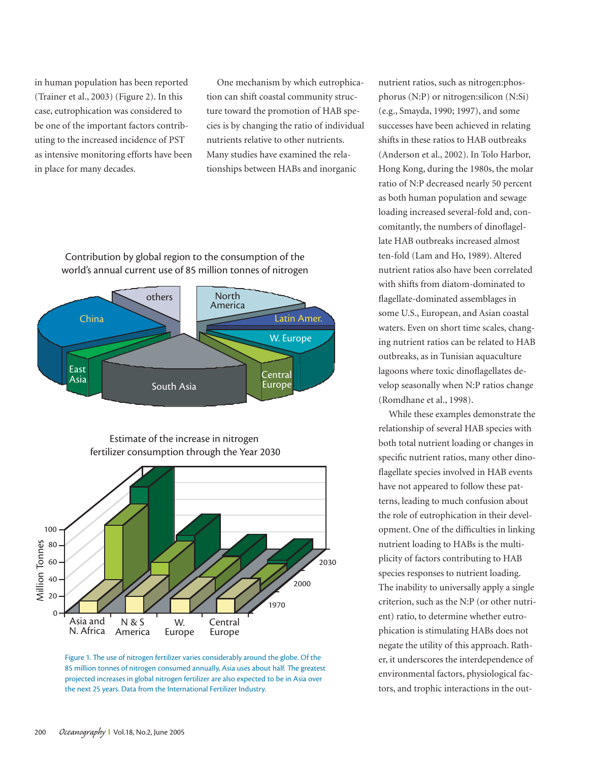in human population has been reported (Trainer et al., 2003) (Figure 2). In this case, eutrophication was considered to be one of the important factors contributing to the increased incidence of PST as intensive monitoring efforts have been in place for many decades.

One mechanism by which eutrophication can shift coastal community structure toward the promotion of HAB species is by changing the ratio of individual nutrients relative to other nutrients. Many studies have examined the relationships between HABs and inorganic

Contribution by global region to the consumption of the world's annual current use of 85 million tonnes of nitrogen



Estimate of the increase in nitrogen fertilizer consumption through the Year 2030



Figure 1. The use of nitrogen fertilizer varies considerably around the globe. Of the 85 million tonnes of nitrogen consumed annually, Asia uses about half. The greatest projected increases in global nitrogen fertilizer are also expected to be in Asia over the next 25 years. Data from the International Fertilizer Industry.

nutrient ratios, such as nitrogen:phosphorus (N:P) or nitrogen:silicon (N:Si) (e.g., Smayda, 1990; 1997), and some successes have been achieved in relating shifts in these ratios to HAB outbreaks (Anderson et al., 2002). In Tolo Harbor, Hong Kong, during the 1980s, the molar ratio of N:P decreased nearly 50 percent as both human population and sewage loading increased several-fold and, concomitantly, the numbers of dinoflagellate HAB outbreaks increased almost ten-fold (Lam and Ho, 1989). Altered nutrient ratios also have been correlated with shifts from diatom-dominated to flagellate-dominated assemblages in some U.S., European, and Asian coastal waters. Even on short time scales, changing nutrient ratios can be related to HAB outbreaks, as in Tunisian aquaculture lagoons where toxic dinoflagellates develop seasonally when N:P ratios change (Romdhane et al., 1998).

While these examples demonstrate the relationship of several HAB species with both total nutrient loading or changes in specific nutrient ratios, many other dinoflagellate species involved in HAB events have not appeared to follow these patterns, leading to much confusion about the role of eutrophication in their development. One of the difficulties in linking nutrient loading to HABs is the multiplicity of factors contributing to HAB species responses to nutrient loading. The inability to universally apply a single criterion, such as the N:P (or other nutrient) ratio, to determine whether eutrophication is stimulating HABs does not negate the utility of this approach. Rather, it underscores the interdependence of environmental factors, physiological factors, and trophic interactions in the out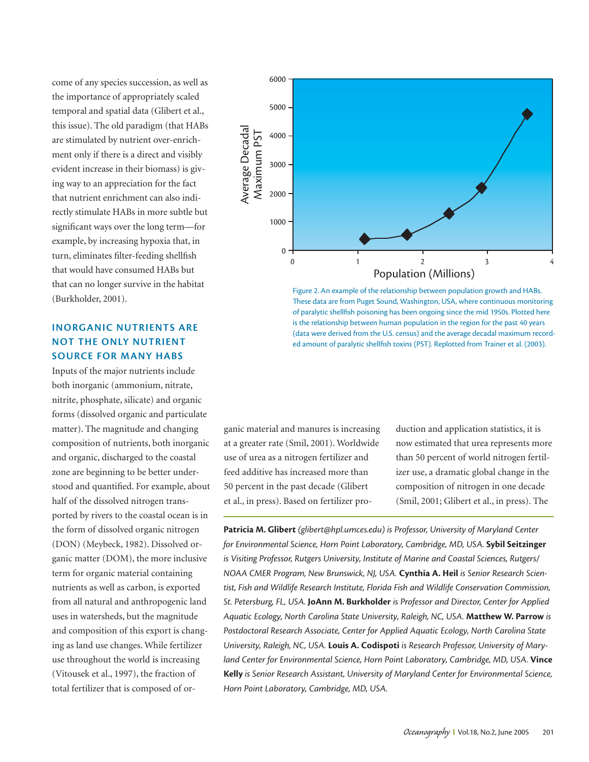come of any species succession, as well as the importance of appropriately scaled temporal and spatial data (Glibert et al., this issue). The old paradigm (that HABs are stimulated by nutrient over-enrichment only if there is a direct and visibly evident increase in their biomass) is giving way to an appreciation for the fact that nutrient enrichment can also indirectly stimulate HABs in more subtle but significant ways over the long term-for example, by increasing hypoxia that, in turn, eliminates filter-feeding shellfish that would have consumed HABs but that can no longer survive in the habitat (Burkholder, 2001).

### **INORGANIC NUTRIENTS ARE NOT THE ONLY NUTRIENT SOURCE FOR MANY HABS**

Inputs of the major nutrients include both inorganic (ammonium, nitrate, nitrite, phosphate, silicate) and organic forms (dissolved organic and particulate matter). The magnitude and changing composition of nutrients, both inorganic and organic, discharged to the coastal zone are beginning to be better understood and quantified. For example, about half of the dissolved nitrogen transported by rivers to the coastal ocean is in the form of dissolved organic nitrogen (DON) (Meybeck, 1982). Dissolved organic matter (DOM), the more inclusive term for organic material containing nutrients as well as carbon, is exported from all natural and anthropogenic land uses in watersheds, but the magnitude and composition of this export is changing as land use changes. While fertilizer use throughout the world is increasing (Vitousek et al., 1997), the fraction of total fertilizer that is composed of or-



Figure 2. An example of the relationship between population growth and HABs. These data are from Puget Sound, Washington, USA, where continuous monitoring of paralytic shellfish poisoning has been ongoing since the mid 1950s. Plotted here is the relationship between human population in the region for the past 40 years (data were derived from the U.S. census) and the average decadal maximum recorded amount of paralytic shellfish toxins (PST). Replotted from Trainer et al. (2003).

ganic material and manures is increasing at a greater rate (Smil, 2001). Worldwide use of urea as a nitrogen fertilizer and feed additive has increased more than 50 percent in the past decade (Glibert et al., in press). Based on fertilizer production and application statistics, it is now estimated that urea represents more than 50 percent of world nitrogen fertilizer use, a dramatic global change in the composition of nitrogen in one decade (Smil, 2001; Glibert et al., in press). The

**Patricia M. Glibert** *(glibert@hpl.umces.edu) is Professor, University of Maryland Center for Environmental Science, Horn Point Laboratory, Cambridge, MD, USA.* **Sybil Seitzinger**  *is Visiting Professor, Rutgers University, Institute of Marine and Coastal Sciences, Rutgers/ NOAA CMER Program, New Brunswick, NJ, USA.* **Cynthia A. Heil** *is Senior Research Scientist, Fish and Wildlife Research Institute, Florida Fish and Wildlife Conservation Commission, St. Petersburg, FL, USA.* **JoAnn M. Burkholder** *is Professor and Director, Center for Applied Aquatic Ecology, North Carolina State University, Raleigh, NC, USA.* **Matthew W. Parrow** *is Postdoctoral Research Associate, Center for Applied Aquatic Ecology, North Carolina State University, Raleigh, NC, USA.* **Louis A. Codispoti** *is Research Professor, University of Maryland Center for Environmental Science, Horn Point Laboratory, Cambridge, MD, USA.* **Vince Kelly** *is Senior Research Assistant, University of Maryland Center for Environmental Science, Horn Point Laboratory, Cambridge, MD, USA.*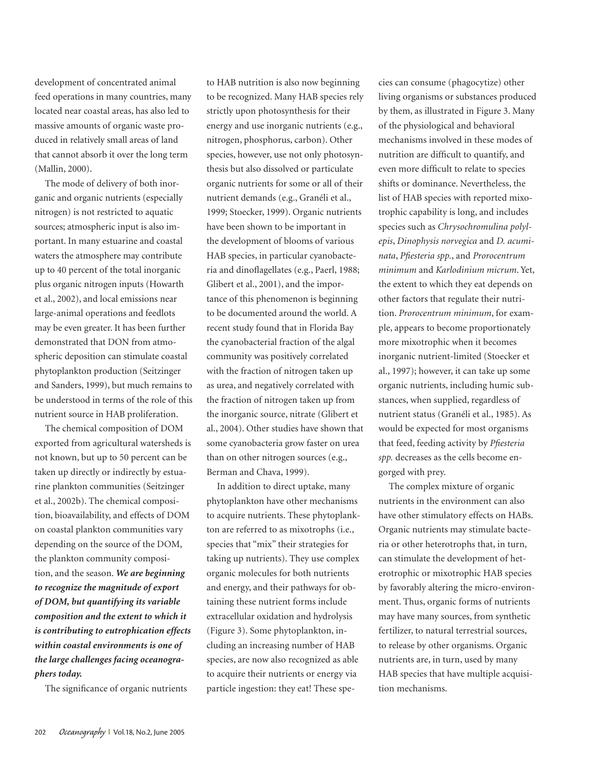development of concentrated animal feed operations in many countries, many located near coastal areas, has also led to massive amounts of organic waste produced in relatively small areas of land that cannot absorb it over the long term (Mallin, 2000).

The mode of delivery of both inorganic and organic nutrients (especially nitrogen) is not restricted to aquatic sources; atmospheric input is also important. In many estuarine and coastal waters the atmosphere may contribute up to 40 percent of the total inorganic plus organic nitrogen inputs (Howarth et al., 2002), and local emissions near large-animal operations and feedlots may be even greater. It has been further demonstrated that DON from atmospheric deposition can stimulate coastal phytoplankton production (Seitzinger and Sanders, 1999), but much remains to be understood in terms of the role of this nutrient source in HAB proliferation.

The chemical composition of DOM exported from agricultural watersheds is not known, but up to 50 percent can be taken up directly or indirectly by estuarine plankton communities (Seitzinger et al., 2002b). The chemical composition, bioavailability, and effects of DOM on coastal plankton communities vary depending on the source of the DOM, the plankton community composition, and the season. *We are beginning to recognize the magnitude of export of DOM, but quantifying its variable composition and the extent to which it is contributing to eutrophication effects within coastal environments is one of the large challenges facing oceanographers today.* 

The significance of organic nutrients

to HAB nutrition is also now beginning to be recognized. Many HAB species rely strictly upon photosynthesis for their energy and use inorganic nutrients (e.g., nitrogen, phosphorus, carbon). Other species, however, use not only photosynthesis but also dissolved or particulate organic nutrients for some or all of their nutrient demands (e.g., Granéli et al., 1999; Stoecker, 1999). Organic nutrients have been shown to be important in the development of blooms of various HAB species, in particular cyanobacteria and dinoflagellates (e.g., Paerl, 1988; Glibert et al., 2001), and the importance of this phenomenon is beginning to be documented around the world. A recent study found that in Florida Bay the cyanobacterial fraction of the algal community was positively correlated with the fraction of nitrogen taken up as urea, and negatively correlated with the fraction of nitrogen taken up from the inorganic source, nitrate (Glibert et al., 2004). Other studies have shown that some cyanobacteria grow faster on urea than on other nitrogen sources (e.g., Berman and Chava, 1999).

In addition to direct uptake, many phytoplankton have other mechanisms to acquire nutrients. These phytoplankton are referred to as mixotrophs (i.e., species that "mix" their strategies for taking up nutrients). They use complex organic molecules for both nutrients and energy, and their pathways for obtaining these nutrient forms include extracellular oxidation and hydrolysis (Figure 3). Some phytoplankton, including an increasing number of HAB species, are now also recognized as able to acquire their nutrients or energy via particle ingestion: they eat! These species can consume (phagocytize) other living organisms or substances produced by them, as illustrated in Figure 3. Many of the physiological and behavioral mechanisms involved in these modes of nutrition are difficult to quantify, and even more difficult to relate to species shifts or dominance. Nevertheless, the list of HAB species with reported mixotrophic capability is long, and includes species such as *Chrysochromulina polylepis*, *Dinophysis norvegica* and *D. acuminata*, *Pfi esteria spp.*, and *Prorocentrum minimum* and *Karlodinium micrum*. Yet, the extent to which they eat depends on other factors that regulate their nutrition. *Prorocentrum minimum*, for example, appears to become proportionately more mixotrophic when it becomes inorganic nutrient-limited (Stoecker et al., 1997); however, it can take up some organic nutrients, including humic substances, when supplied, regardless of nutrient status (Granéli et al., 1985). As would be expected for most organisms that feed, feeding activity by *Pfiesteria spp.* decreases as the cells become engorged with prey.

The complex mixture of organic nutrients in the environment can also have other stimulatory effects on HABs. Organic nutrients may stimulate bacteria or other heterotrophs that, in turn, can stimulate the development of heterotrophic or mixotrophic HAB species by favorably altering the micro-environment. Thus, organic forms of nutrients may have many sources, from synthetic fertilizer, to natural terrestrial sources, to release by other organisms. Organic nutrients are, in turn, used by many HAB species that have multiple acquisition mechanisms.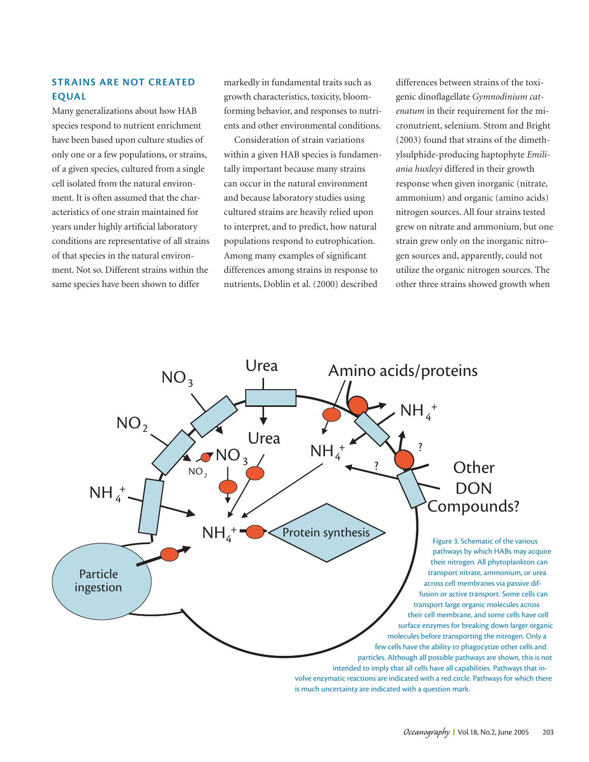### **STR AINS ARE NOT CREATED EQUAL**

Many generalizations about how HAB species respond to nutrient enrichment have been based upon culture studies of only one or a few populations, or strains, of a given species, cultured from a single cell isolated from the natural environment. It is often assumed that the characteristics of one strain maintained for years under highly artificial laboratory conditions are representative of all strains of that species in the natural environment. Not so. Different strains within the same species have been shown to differ

markedly in fundamental traits such as growth characteristics, toxicity, bloomforming behavior, and responses to nutrients and other environmental conditions.

Consideration of strain variations within a given HAB species is fundamentally important because many strains can occur in the natural environment and because laboratory studies using cultured strains are heavily relied upon to interpret, and to predict, how natural populations respond to eutrophication. Among many examples of significant differences among strains in response to nutrients, Doblin et al. (2000) described

differences between strains of the toxigenic dinofl agellate *Gymnodinium catenatum* in their requirement for the micronutrient, selenium. Strom and Bright (2003) found that strains of the dimethylsulphide-producing haptophyte *Emiliania huxleyi* differed in their growth response when given inorganic (nitrate, ammonium) and organic (amino acids) nitrogen sources. All four strains tested grew on nitrate and ammonium, but one strain grew only on the inorganic nitrogen sources and, apparently, could not utilize the organic nitrogen sources. The other three strains showed growth when

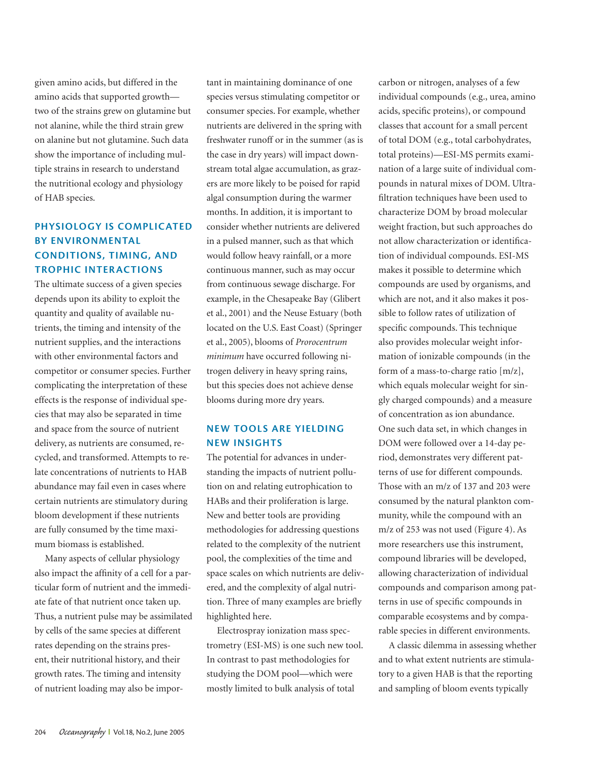given amino acids, but differed in the amino acids that supported growth two of the strains grew on glutamine but not alanine, while the third strain grew on alanine but not glutamine. Such data show the importance of including multiple strains in research to understand the nutritional ecology and physiology of HAB species.

## **PHYSIOLOGY IS COMPLICATED BY ENVIRONMENTAL CONDITIONS, TIMING, AND TROPHIC INTERACTIONS**

The ultimate success of a given species depends upon its ability to exploit the quantity and quality of available nutrients, the timing and intensity of the nutrient supplies, and the interactions with other environmental factors and competitor or consumer species. Further complicating the interpretation of these effects is the response of individual species that may also be separated in time and space from the source of nutrient delivery, as nutrients are consumed, recycled, and transformed. Attempts to relate concentrations of nutrients to HAB abundance may fail even in cases where certain nutrients are stimulatory during bloom development if these nutrients are fully consumed by the time maximum biomass is established.

Many aspects of cellular physiology also impact the affinity of a cell for a particular form of nutrient and the immediate fate of that nutrient once taken up. Thus, a nutrient pulse may be assimilated by cells of the same species at different rates depending on the strains present, their nutritional history, and their growth rates. The timing and intensity of nutrient loading may also be important in maintaining dominance of one species versus stimulating competitor or consumer species. For example, whether nutrients are delivered in the spring with freshwater runoff or in the summer (as is the case in dry years) will impact downstream total algae accumulation, as grazers are more likely to be poised for rapid algal consumption during the warmer months. In addition, it is important to consider whether nutrients are delivered in a pulsed manner, such as that which would follow heavy rainfall, or a more continuous manner, such as may occur from continuous sewage discharge. For example, in the Chesapeake Bay (Glibert et al., 2001) and the Neuse Estuary (both located on the U.S. East Coast) (Springer et al., 2005), blooms of *Prorocentrum minimum* have occurred following nitrogen delivery in heavy spring rains, but this species does not achieve dense blooms during more dry years.

## **NEW TOOLS ARE YIELDING NEW INSIGHTS**

The potential for advances in understanding the impacts of nutrient pollution on and relating eutrophication to HABs and their proliferation is large. New and better tools are providing methodologies for addressing questions related to the complexity of the nutrient pool, the complexities of the time and space scales on which nutrients are delivered, and the complexity of algal nutrition. Three of many examples are briefly highlighted here.

Electrospray ionization mass spectrometry (ESI-MS) is one such new tool. In contrast to past methodologies for studying the DOM pool—which were mostly limited to bulk analysis of total

carbon or nitrogen, analyses of a few individual compounds (e.g., urea, amino acids, specific proteins), or compound classes that account for a small percent of total DOM (e.g., total carbohydrates, total proteins)—ESI-MS permits examination of a large suite of individual compounds in natural mixes of DOM. Ultrafiltration techniques have been used to characterize DOM by broad molecular weight fraction, but such approaches do not allow characterization or identification of individual compounds. ESI-MS makes it possible to determine which compounds are used by organisms, and which are not, and it also makes it possible to follow rates of utilization of specific compounds. This technique also provides molecular weight information of ionizable compounds (in the form of a mass-to-charge ratio [m/z], which equals molecular weight for singly charged compounds) and a measure of concentration as ion abundance. One such data set, in which changes in DOM were followed over a 14-day period, demonstrates very different patterns of use for different compounds. Those with an m/z of 137 and 203 were consumed by the natural plankton community, while the compound with an m/z of 253 was not used (Figure 4). As more researchers use this instrument, compound libraries will be developed, allowing characterization of individual compounds and comparison among patterns in use of specific compounds in comparable ecosystems and by comparable species in different environments.

A classic dilemma in assessing whether and to what extent nutrients are stimulatory to a given HAB is that the reporting and sampling of bloom events typically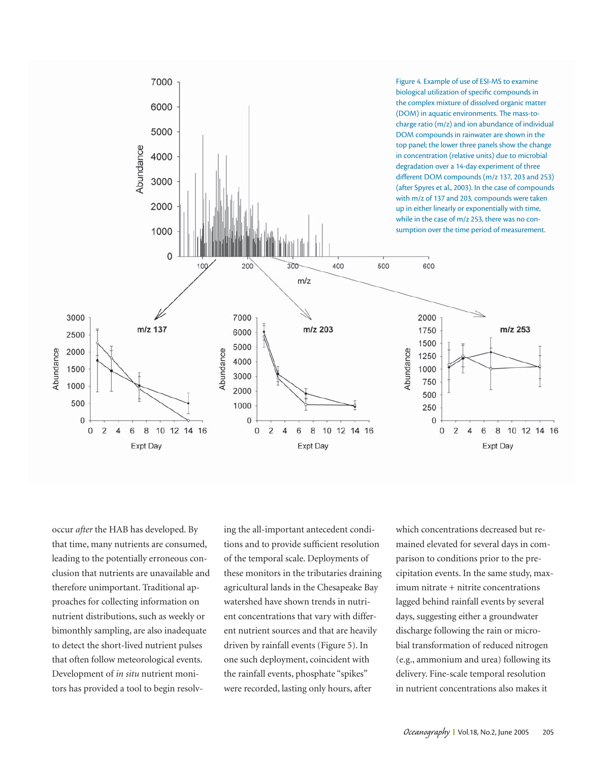

occur *after* the HAB has developed. By that time, many nutrients are consumed, leading to the potentially erroneous conclusion that nutrients are unavailable and therefore unimportant. Traditional approaches for collecting information on nutrient distributions, such as weekly or bimonthly sampling, are also inadequate to detect the short-lived nutrient pulses that often follow meteorological events. Development of *in situ* nutrient monitors has provided a tool to begin resolving the all-important antecedent conditions and to provide sufficient resolution of the temporal scale. Deployments of these monitors in the tributaries draining agricultural lands in the Chesapeake Bay watershed have shown trends in nutrient concentrations that vary with different nutrient sources and that are heavily driven by rainfall events (Figure 5). In one such deployment, coincident with the rainfall events, phosphate "spikes" were recorded, lasting only hours, after

which concentrations decreased but remained elevated for several days in comparison to conditions prior to the precipitation events. In the same study, maximum nitrate + nitrite concentrations lagged behind rainfall events by several days, suggesting either a groundwater discharge following the rain or microbial transformation of reduced nitrogen (e.g., ammonium and urea) following its delivery. Fine-scale temporal resolution in nutrient concentrations also makes it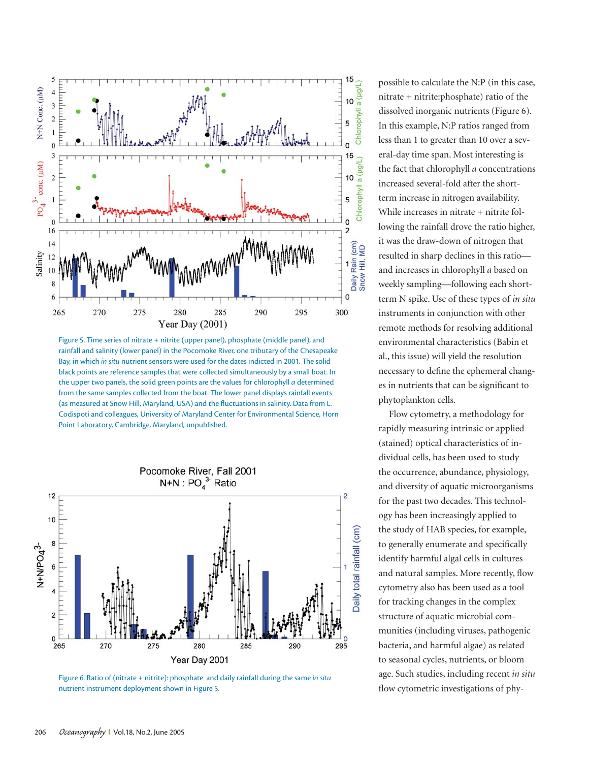

Figure 5. Time series of nitrate + nitrite (upper panel), phosphate (middle panel), and rainfall and salinity (lower panel) in the Pocomoke River, one tributary of the Chesapeake Bay, in which *in situ* nutrient sensors were used for the dates indicted in 2001. The solid black points are reference samples that were collected simultaneously by a small boat. In the upper two panels, the solid green points are the values for chlorophyll *a* determined from the same samples collected from the boat. The lower panel displays rainfall events (as measured at Snow Hill, Maryland, USA) and the fluctuations in salinity. Data from L. Codispoti and colleagues, University of Maryland Center for Environmental Science, Horn Point Laboratory, Cambridge, Maryland, unpublished.



Figure 6. Ratio of (nitrate + nitrite): phosphate<sup>-</sup> and daily rainfall during the same in situ nutrient instrument deployment shown in Figure 5.

possible to calculate the N:P (in this case, nitrate + nitrite:phosphate) ratio of the dissolved inorganic nutrients (Figure 6). In this example, N:P ratios ranged from less than 1 to greater than 10 over a several-day time span. Most interesting is the fact that chlorophyll *a* concentrations increased several-fold after the shortterm increase in nitrogen availability. While increases in nitrate + nitrite following the rainfall drove the ratio higher, it was the draw-down of nitrogen that resulted in sharp declines in this ratio and increases in chlorophyll *a* based on weekly sampling—following each shortterm N spike. Use of these types of *in situ* instruments in conjunction with other remote methods for resolving additional environmental characteristics (Babin et al., this issue) will yield the resolution necessary to define the ephemeral changes in nutrients that can be significant to phytoplankton cells.

Flow cytometry, a methodology for rapidly measuring intrinsic or applied (stained) optical characteristics of individual cells, has been used to study the occurrence, abundance, physiology, and diversity of aquatic microorganisms for the past two decades. This technology has been increasingly applied to the study of HAB species, for example, to generally enumerate and specifically identify harmful algal cells in cultures and natural samples. More recently, flow cytometry also has been used as a tool for tracking changes in the complex structure of aquatic microbial communities (including viruses, pathogenic bacteria, and harmful algae) as related to seasonal cycles, nutrients, or bloom age. Such studies, including recent *in situ* flow cytometric investigations of phy-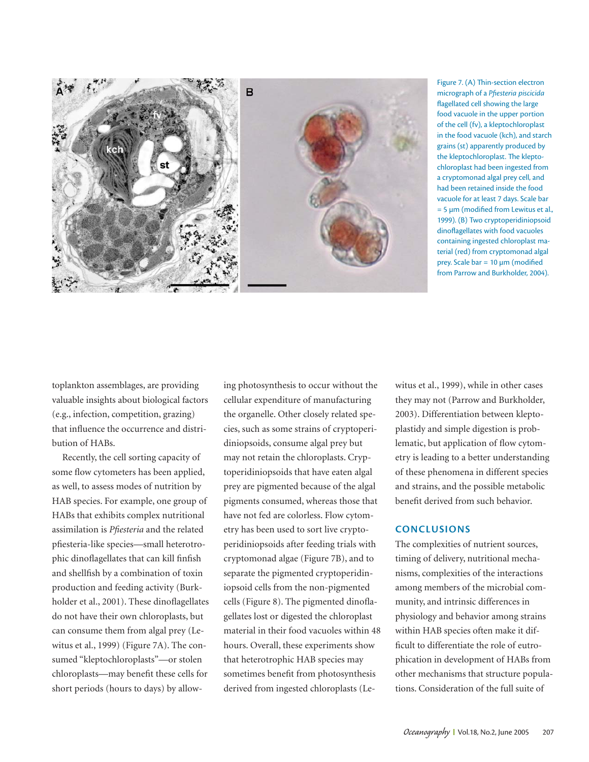

Figure 7. (A) Thin-section electron micrograph of a *Pfiesteria piscicida* flagellated cell showing the large food vacuole in the upper portion of the cell (fv), a kleptochloroplast in the food vacuole (kch), and starch grains (st) apparently produced by the kleptochloroplast. The kleptochloroplast had been ingested from a cryptomonad algal prey cell, and had been retained inside the food vacuole for at least 7 days. Scale bar  $= 5 \mu m$  (modified from Lewitus et al., 1999). (B) Two cryptoperidiniopsoid dinoflagellates with food vacuoles containing ingested chloroplast material (red) from cryptomonad algal prey. Scale bar =  $10 \mu m$  (modified from Parrow and Burkholder, 2004).

toplankton assemblages, are providing valuable insights about biological factors (e.g., infection, competition, grazing) that influence the occurrence and distribution of HABs.

Recently, the cell sorting capacity of some flow cytometers has been applied, as well, to assess modes of nutrition by HAB species. For example, one group of HABs that exhibits complex nutritional assimilation is *Pfiesteria* and the related pfiesteria-like species—small heterotrophic dinoflagellates that can kill finfish and shellfish by a combination of toxin production and feeding activity (Burkholder et al., 2001). These dinoflagellates do not have their own chloroplasts, but can consume them from algal prey (Lewitus et al., 1999) (Figure 7A). The consumed "kleptochloroplasts"—or stolen chloroplasts—may benefit these cells for short periods (hours to days) by allowing photosynthesis to occur without the cellular expenditure of manufacturing the organelle. Other closely related species, such as some strains of cryptoperidiniopsoids, consume algal prey but may not retain the chloroplasts. Cryptoperidiniopsoids that have eaten algal prey are pigmented because of the algal pigments consumed, whereas those that have not fed are colorless. Flow cytometry has been used to sort live cryptoperidiniopsoids after feeding trials with cryptomonad algae (Figure 7B), and to separate the pigmented cryptoperidiniopsoid cells from the non-pigmented cells (Figure 8). The pigmented dinoflagellates lost or digested the chloroplast material in their food vacuoles within 48 hours. Overall, these experiments show that heterotrophic HAB species may sometimes benefit from photosynthesis derived from ingested chloroplasts (Lewitus et al., 1999), while in other cases they may not (Parrow and Burkholder, 2003). Differentiation between kleptoplastidy and simple digestion is problematic, but application of flow cytometry is leading to a better understanding of these phenomena in different species and strains, and the possible metabolic benefit derived from such behavior.

#### **CONCLUSIONS**

The complexities of nutrient sources, timing of delivery, nutritional mechanisms, complexities of the interactions among members of the microbial community, and intrinsic differences in physiology and behavior among strains within HAB species often make it difficult to differentiate the role of eutrophication in development of HABs from other mechanisms that structure populations. Consideration of the full suite of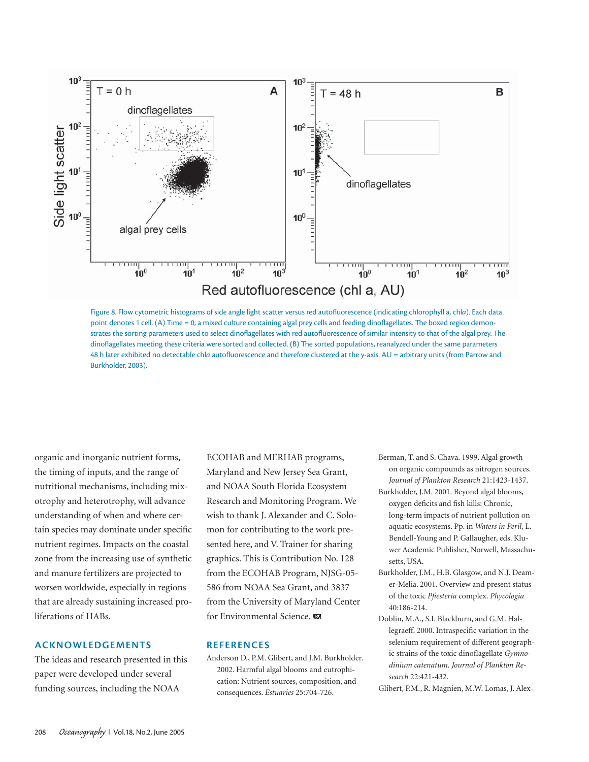

Figure 8. Flow cytometric histograms of side angle light scatter versus red autofluorescence (indicating chlorophyll a, chla). Each data point denotes 1 cell. (A) Time = 0, a mixed culture containing algal prey cells and feeding dinoflagellates. The boxed region demonstrates the sorting parameters used to select dinoflagellates with red autofluorescence of similar intensity to that of the algal prey. The dinoflagellates meeting these criteria were sorted and collected. (B) The sorted populations, reanalyzed under the same parameters 48 h later exhibited no detectable chla autofluorescence and therefore clustered at the y-axis. AU = arbitrary units (from Parrow and Burkholder, 2003).

organic and inorganic nutrient forms, the timing of inputs, and the range of nutritional mechanisms, including mixotrophy and heterotrophy, will advance understanding of when and where certain species may dominate under specific nutrient regimes. Impacts on the coastal zone from the increasing use of synthetic and manure fertilizers are projected to worsen worldwide, especially in regions that are already sustaining increased proliferations of HABs.

#### **ACKNOWLEDGEMENTS**

The ideas and research presented in this paper were developed under several funding sources, including the NOAA

ECOHAB and MERHAB programs, Maryland and New Jersey Sea Grant, and NOAA South Florida Ecosystem Research and Monitoring Program. We wish to thank J. Alexander and C. Solomon for contributing to the work presented here, and V. Trainer for sharing graphics. This is Contribution No. 128 from the ECOHAB Program, NJSG-05- 586 from NOAA Sea Grant, and 3837 from the University of Maryland Center for Environmental Science.

#### **REFERENCES**

Anderson D., P.M. Glibert, and J.M. Burkholder. 2002. Harmful algal blooms and eutrophication: Nutrient sources, composition, and consequences. *Estuaries* 25:704-726.

- Berman, T. and S. Chava. 1999. Algal growth on organic compounds as nitrogen sources. *Journal of Plankton Research* 21:1423-1437.
- Burkholder, J.M. 2001. Beyond algal blooms, oxygen deficits and fish kills: Chronic, long-term impacts of nutrient pollution on aquatic ecosystems. Pp. in *Waters in Peril*, L. Bendell-Young and P. Gallaugher, eds. Kluwer Academic Publisher, Norwell, Massachusetts, USA.
- Burkholder, J.M., H.B. Glasgow, and N.J. Deamer-Melia. 2001. Overview and present status of the toxic *Pfiesteria* complex. *Phycologia* 40:186-214.
- Doblin, M.A., S.I. Blackburn, and G.M. Hallegraeff. 2000. Intraspecific variation in the selenium requirement of different geographic strains of the toxic dinoflagellate *Gymnodinium catenatum. Journal of Plankton Research* 22:421-432.
- Glibert, P.M., R. Magnien, M.W. Lomas, J. Alex-